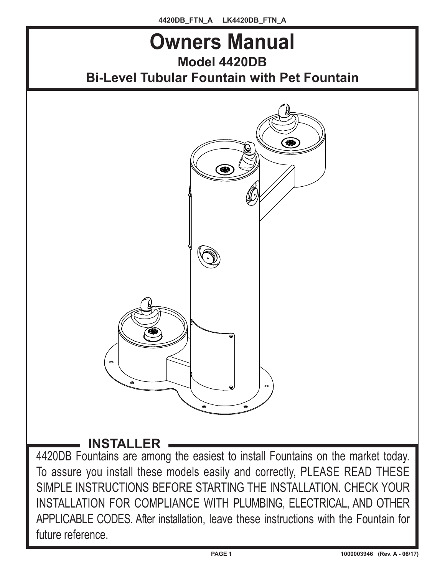

To assure you install these models easily and correctly, PLEASE READ THESE SIMPLE INSTRUCTIONS BEFORE STARTING THE INSTALLATION. CHECK YOUR INSTALLATION FOR COMPLIANCE WITH PLUMBING, ELECTRICAL, AND OTHER APPLICABLE CODES. After installation, leave these instructions with the Fountain for future reference.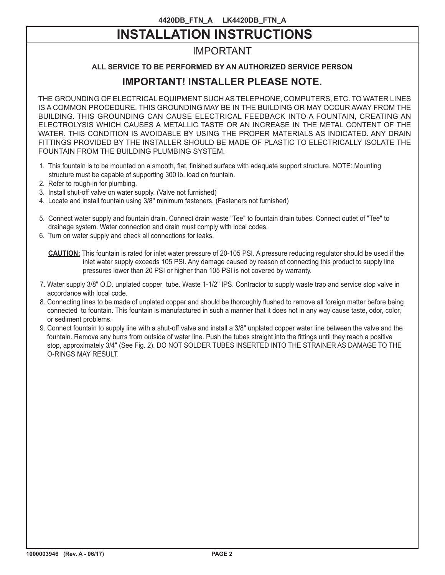# **INSTALLATION INSTRUCTIONS**

# IMPORTANT

## **ALL SERVICE TO BE PERFORMED BY AN AUTHORIZED SERVICE PERSON**

# **IMPORTANT! INSTALLER PLEASE NOTE.**

THE GROUNDING OF ELECTRICAL EQUIPMENT SUCH AS TELEPHONE, COMPUTERS, ETC. TO WATER LINES IS A COMMON PROCEDURE. THIS GROUNDING MAY BE IN THE BUILDING OR MAY OCCUR AWAY FROM THE BUILDING. THIS GROUNDING CAN CAUSE ELECTRICAL FEEDBACK INTO A FOUNTAIN, CREATING AN ELECTROLYSIS WHICH CAUSES A METALLIC TASTE OR AN INCREASE IN THE METAL CONTENT OF THE WATER. THIS CONDITION IS AVOIDABLE BY USING THE PROPER MATERIALS AS INDICATED. ANY DRAIN FITTINGS PROVIDED BY THE INSTALLER SHOULD BE MADE OF PLASTIC TO ELECTRICALLY ISOLATE THE FOUNTAIN FROM THE BUILDING PLUMBING SYSTEM.

- 1. This fountain is to be mounted on a smooth, flat, finished surface with adequate support structure. NOTE: Mounting structure must be capable of supporting 300 lb. load on fountain.
- 2. Refer to rough-in for plumbing.
- 3. Install shut-off valve on water supply. (Valve not furnished)
- 4. Locate and install fountain using 3/8" minimum fasteners. (Fasteners not furnished)
- 5. Connect water supply and fountain drain. Connect drain waste "Tee" to fountain drain tubes. Connect outlet of "Tee" to drainage system. Water connection and drain must comply with local codes.
- 6. Turn on water supply and check all connections for leaks.

- 7. Water supply 3/8" O.D. unplated copper tube. Waste 1-1/2" IPS. Contractor to supply waste trap and service stop valve in accordance with local code.
- 8. Connecting lines to be made of unplated copper and should be thoroughly flushed to remove all foreign matter before being connected to fountain. This fountain is manufactured in such a manner that it does not in any way cause taste, odor, color, or sediment problems.
- 9. Connect fountain to supply line with a shut-off valve and install a 3/8" unplated copper water line between the valve and the fountain. Remove any burrs from outside of water line. Push the tubes straight into the fittings until they reach a positive stop, approximately 3/4" (See Fig. 2). DO NOT SOLDER TUBES INSERTED INTO THE STRAINER AS DAMAGE TO THE O-RINGS MAY RESULT.

**CAUTION:** This fountain is rated for inlet water pressure of 20-105 PSI. A pressure reducing regulator should be used if the inlet water supply exceeds 105 PSI. Any damage caused by reason of connecting this product to supply line pressures lower than 20 PSI or higher than 105 PSI is not covered by warranty.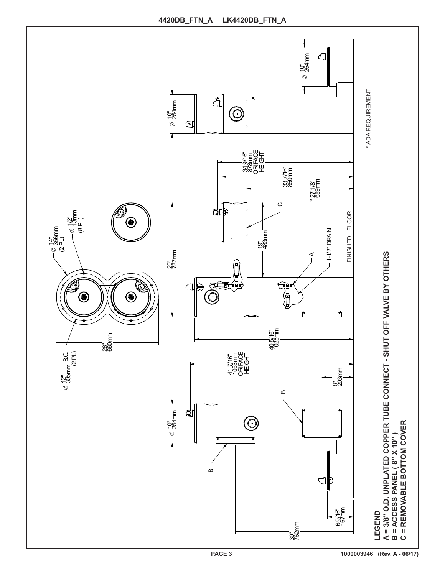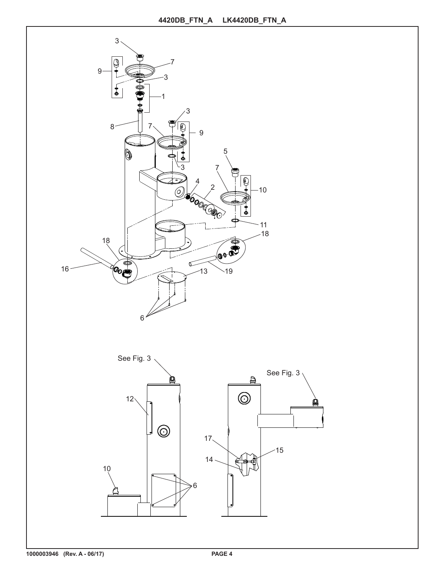